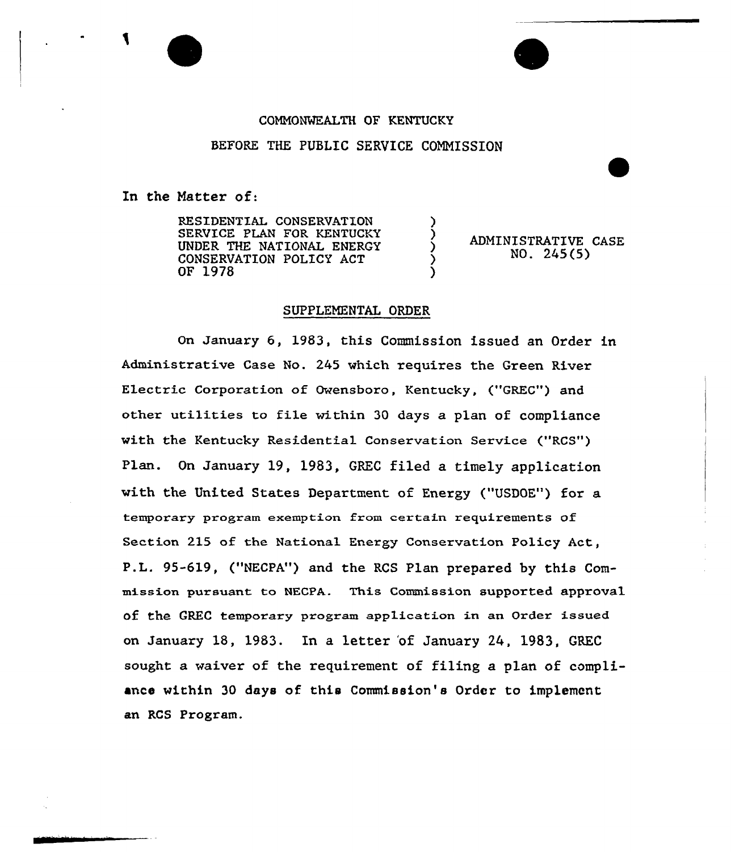## CQNNONMEALTH OF KENTUCKY

## BEFORE THE PUBLIC SERVICE COMMISSION

)

)

)

In the Natter of:

RESIDENTIAL CONSERUATION SERVICE PLAN FOR KENTUCKY UNDER THE NATIONAL ENERGY CONSERUATION POLICY ACT OF 1978

ADMINISTRATIVE CASE ) NO. 245 (5)

## SUPPLENENTAL ORDER

On January 6, 1983, this Commission issued an Order in Administrative Case No. 245 which requires the Green River Electric Corporation of Owensboro, Kentucky, ("GREC") and other utilities to file within 30 days a plan of compliance with the Kentucky Residential Conservation Service ("RCS") Plan. On January 19, 1983, GREC filed a timely application with the United States Department of Energy ("USDOE") for a temporary program exemption from certain requirements of Section 215 of the National Energy Conservation Policy Act, P.L. 95-619, ("NECPA") and the RCS Plan prepared by this Commission pursuant to NECPA. This Commission supported approval of the GREC temporary program application in an Order issued on January 18, 1983. In a letter 'of January 24, 1983, GREC sought a waiver of the requirement of filing a plan of compliance within 30 days of this Commission's Order to implement an RCS Program.